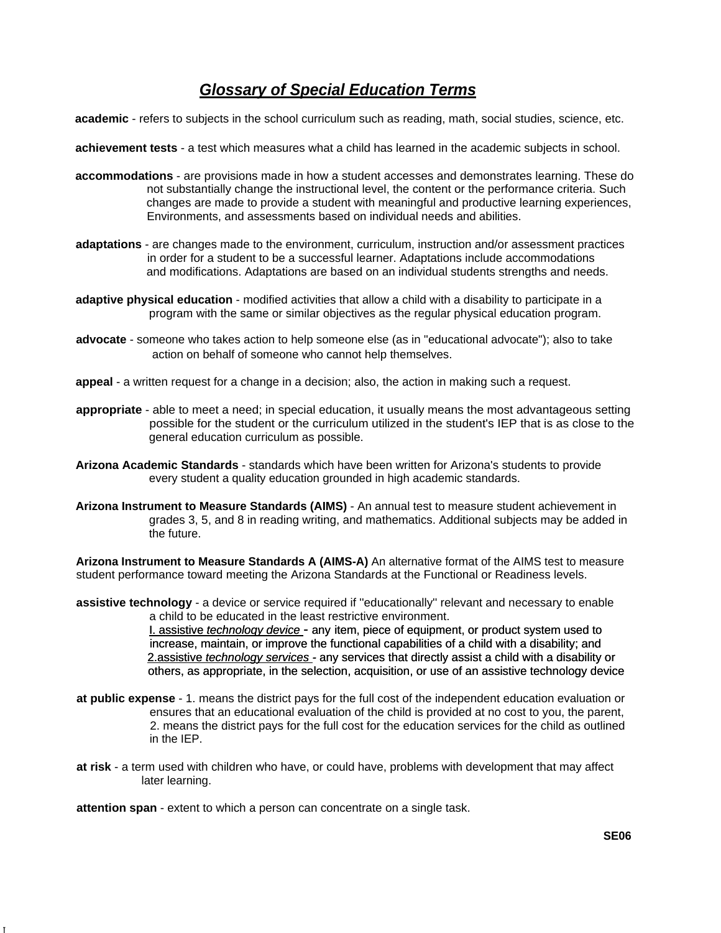## *Glossary of Special Education Terms*

**academic** - refers to subjects in the school curriculum such as reading, math, social studies, science, etc.

**achievement tests** - a test which measures what a child has learned in the academic subjects in school.

- **accommodations**  are provisions made in how a student accesses and demonstrates learning. These do not substantially change the instructional level, the content or the performance criteria. Such changes are made to provide a student with meaningful and productive learning experiences, Environments, and assessments based on individual needs and abilities.
- **adaptations**  are changes made to the environment, curriculum, instruction and/or assessment practices in order for a student to be a successful learner. Adaptations include accommodations and modifications. Adaptations are based on an individual students strengths and needs.
- **adaptive physical education**  modified activities that allow a child with a disability to participate in a program with the same or similar objectives as the regular physical education program.
- **advocate**  someone who takes action to help someone else (as in ''educational advocate"); also to take action on behalf of someone who cannot help themselves.
- **appeal**  a written request for a change in a decision; also, the action in making such a request.
- **appropriate**  able to meet a need; in special education, it usually means the most advantageous setting possible for the student or the curriculum utilized in the student's IEP that is as close to the general education curriculum as possible.
- **Arizona Academic Standards**  standards which have been written for Arizona's students to provide every student a quality education grounded in high academic standards.
- **Arizona Instrument to Measure Standards (AIMS)**  An annual test to measure student achievement in grades 3, 5, and 8 in reading writing, and mathematics. Additional subjects may be added in the future.

**Arizona Instrument to Measure Standards A (AIMS-A)** An alternative format of the AIMS test to measure student performance toward meeting the Arizona Standards at the Functional or Readiness levels.

**assistive technology** - a device or service required if ''educationally'' relevant and necessary to enable a child to be educated in the least restrictive environment.

> I. assistive *technoloqy device -* any item, piece of equipment, or product system used to increase, maintain, or improve the functional capabilities of a child with a disability; and 2.assistive *technology services -* any services that directly assist a child with a disability or others, as appropriate, in the selection, acquisition, or use of an assistive technology device

- **at public expense**  1. means the district pays for the full cost of the independent education evaluation or ensures that an educational evaluation of the child is provided at no cost to you, the parent, 2. means the district pays for the full cost for the education services for the child as outlined in the IEP.
- **at risk**  a term used with children who have, or could have, problems with development that may affect later learning.

**attention span** - extent to which a person can concentrate on a single task.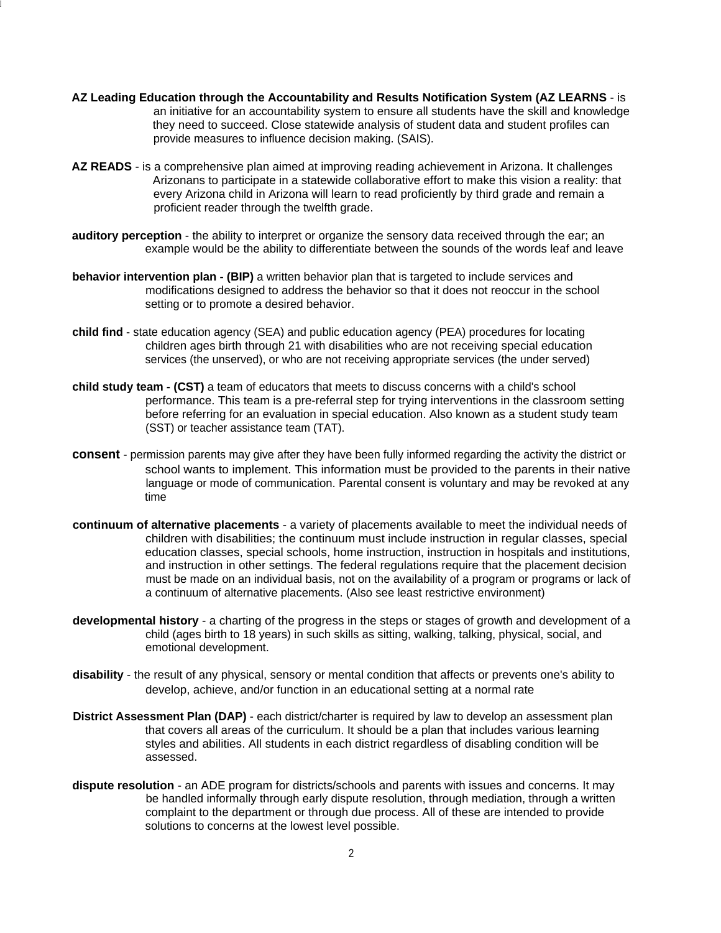**AZ Leading Education through the Accountability and Results Notification System (AZ LEARNS** - is an initiative for an accountability system to ensure all students have the skill and knowledge they need to succeed. Close statewide analysis of student data and student profiles can provide measures to influence decision making. (SAIS).

I

- **AZ READS**  is a comprehensive plan aimed at improving reading achievement in Arizona. It challenges Arizonans to participate in a statewide collaborative effort to make this vision a reality: that every Arizona child in Arizona will learn to read proficiently by third grade and remain a proficient reader through the twelfth grade.
- **auditory perception**  the ability to interpret or organize the sensory data received through the ear; an example would be the ability to differentiate between the sounds of the words leaf and leave
- **behavior intervention plan (BIP)** a written behavior plan that is targeted to include services and modifications designed to address the behavior so that it does not reoccur in the school setting or to promote a desired behavior.
- **child find**  state education agency (SEA) and public education agency (PEA) procedures for locating children ages birth through 21 with disabilities who are not receiving special education services (the unserved), or who are not receiving appropriate services (the under served)
- **child study team (CST)** a team of educators that meets to discuss concerns with a child's school performance. This team is a pre-referral step for trying interventions in the classroom setting before referring for an evaluation in special education. Also known as a student study team (SST) or teacher assistance team (TAT).
- **consent** permission parents may give after they have been fully informed regarding the activity the district or school wants to implement. This information must be provided to the parents in their native language or mode of communication. Parental consent is voluntary and may be revoked at any time
- **continuum of alternative placements**  a variety of placements available to meet the individual needs of children with disabilities; the continuum must include instruction in regular classes, special education classes, special schools, home instruction, instruction in hospitals and institutions, and instruction in other settings. The federal regulations require that the placement decision must be made on an individual basis, not on the availability of a program or programs or lack of a continuum of alternative placements. (Also see least restrictive environment)
- **developmental history**  a charting of the progress in the steps or stages of growth and development of a child (ages birth to 18 years) in such skills as sitting, walking, talking, physical, social, and emotional development.
- **disability**  the result of any physical, sensory or mental condition that affects or prevents one's ability to develop, achieve, and/or function in an educational setting at a normal rate
- **District Assessment Plan (DAP)** each district/charter is required by law to develop an assessment plan that covers all areas of the curriculum. It should be a plan that includes various learning styles and abilities. All students in each district regardless of disabling condition will be assessed.
- **dispute resolution**  an ADE program for districts/schools and parents with issues and concerns. It may be handled informally through early dispute resolution, through mediation, through a written complaint to the department or through due process. All of these are intended to provide solutions to concerns at the lowest level possible.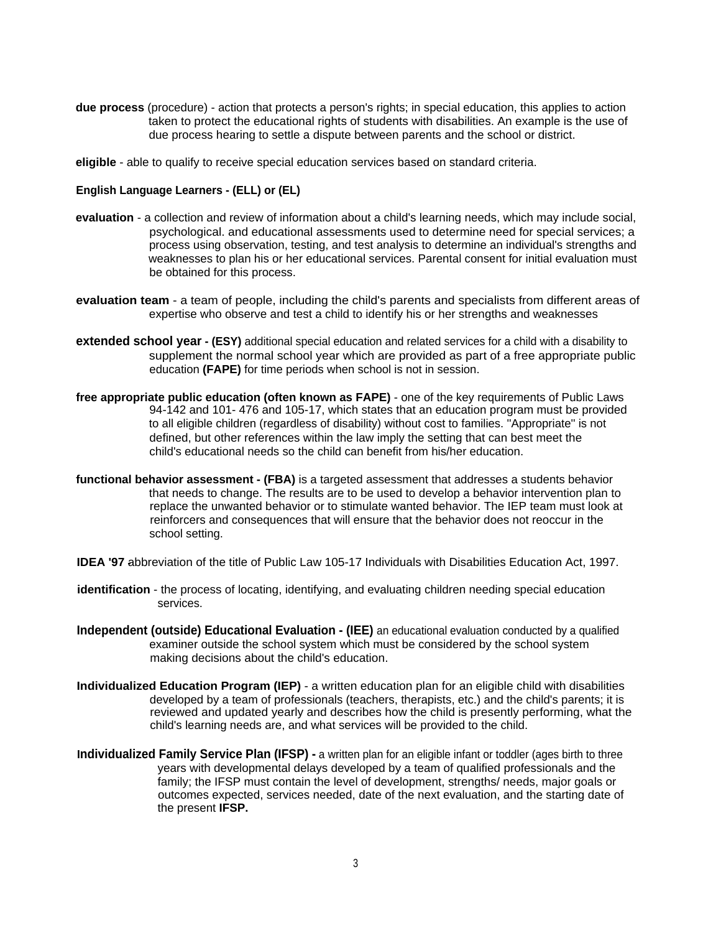**due process** (procedure) - action that protects a person's rights; in special education, this applies to action taken to protect the educational rights of students with disabilities. An example is the use of due process hearing to settle a dispute between parents and the school or district.

**eligible** - able to qualify to receive special education services based on standard criteria.

## **English Language Learners - (ELL) or (EL)**

- **evaluation**  a collection and review of information about a child's learning needs, which may include social, psychological. and educational assessments used to determine need for special services; a process using observation, testing, and test analysis to determine an individual's strengths and weaknesses to plan his or her educational services. Parental consent for initial evaluation must be obtained for this process.
- **evaluation team**  a team of people, including the child's parents and specialists from different areas of expertise who observe and test a child to identify his or her strengths and weaknesses
- **extended school year (ESY)** additional special education and related services for a child with a disability to supplement the normal school year which are provided as part of a free appropriate public education **(FAPE)** for time periods when school is not in session.
- **free appropriate public education (often known as FAPE)**  one of the key requirements of Public Laws 94-142 and 101- 476 and 105-17, which states that an education program must be provided to all eligible children (regardless of disability) without cost to families. ''Appropriate'' is not defined, but other references within the law imply the setting that can best meet the child's educational needs so the child can benefit from his/her education.
- **functional behavior assessment (FBA)** is a targeted assessment that addresses a students behavior that needs to change. The results are to be used to develop a behavior intervention plan to replace the unwanted behavior or to stimulate wanted behavior. The IEP team must look at reinforcers and consequences that will ensure that the behavior does not reoccur in the school setting.
- **IDEA '97** abbreviation of the title of Public Law 105-17 Individuals with Disabilities Education Act, 1997.
- **identification**  the process of locating, identifying, and evaluating children needing special education services.
- **Independent (outside) Educational Evaluation (IEE)** an educational evaluation conducted by a qualified examiner outside the school system which must be considered by the school system making decisions about the child's education.
- **Individualized Education Program (IEP)**  a written education plan for an eligible child with disabilities developed by a team of professionals (teachers, therapists, etc.) and the child's parents; it is reviewed and updated yearly and describes how the child is presently performing, what the child's learning needs are, and what services will be provided to the child.
- **Individualized Family Service Plan (IFSP) -** a written plan for an eligible infant or toddler (ages birth to three years with developmental delays developed by a team of qualified professionals and the family; the IFSP must contain the level of development, strengths/ needs, major goals or outcomes expected, services needed, date of the next evaluation, and the starting date of the present **IFSP.**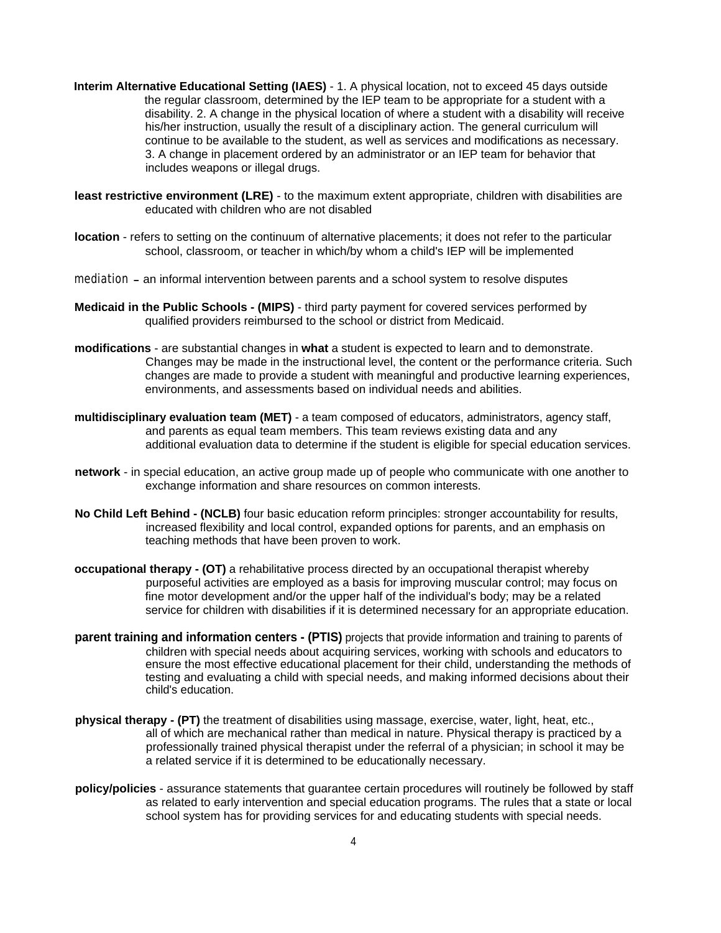- **Interim Alternative Educational Setting (IAES)**  1. A physical location, not to exceed 45 days outside the regular classroom, determined by the IEP team to be appropriate for a student with a disability. 2. A change in the physical location of where a student with a disability will receive his/her instruction, usually the result of a disciplinary action. The general curriculum will continue to be available to the student, as well as services and modifications as necessary. 3. A change in placement ordered by an administrator or an IEP team for behavior that includes weapons or illegal drugs.
- **least restrictive environment (LRE)**  to the maximum extent appropriate, children with disabilities are educated with children who are not disabled
- **location**  refers to setting on the continuum of alternative placements; it does not refer to the particular school, classroom, or teacher in which/by whom a child's IEP will be implemented
- mediation an informal intervention between parents and a school system to resolve disputes
- **Medicaid in the Public Schools (MIPS)**  third party payment for covered services performed by qualified providers reimbursed to the school or district from Medicaid.
- **modifications**  are substantial changes in **what** a student is expected to learn and to demonstrate. Changes may be made in the instructional level, the content or the performance criteria. Such changes are made to provide a student with meaningful and productive learning experiences, environments, and assessments based on individual needs and abilities.
- **multidisciplinary evaluation team (MET)**  a team composed of educators, administrators, agency staff, and parents as equal team members. This team reviews existing data and any additional evaluation data to determine if the student is eligible for special education services.
- **network**  in special education, an active group made up of people who communicate with one another to exchange information and share resources on common interests.
- **No Child Left Behind (NCLB)** four basic education reform principles: stronger accountability for results, increased flexibility and local control, expanded options for parents, and an emphasis on teaching methods that have been proven to work.
- **occupational therapy (OT)** a rehabilitative process directed by an occupational therapist whereby purposeful activities are employed as a basis for improving muscular control; may focus on fine motor development and/or the upper half of the individual's body; may be a related service for children with disabilities if it is determined necessary for an appropriate education.
- **parent training and information centers (PTIS)** projects that provide information and training to parents of children with special needs about acquiring services, working with schools and educators to ensure the most effective educational placement for their child, understanding the methods of testing and evaluating a child with special needs, and making informed decisions about their child's education.
- **physical therapy (PT)** the treatment of disabilities using massage, exercise, water, light, heat, etc., all of which are mechanical rather than medical in nature. Physical therapy is practiced by a professionally trained physical therapist under the referral of a physician; in school it may be a related service if it is determined to be educationally necessary.
- **policy/policies**  assurance statements that guarantee certain procedures will routinely be followed by staff as related to early intervention and special education programs. The rules that a state or local school system has for providing services for and educating students with special needs.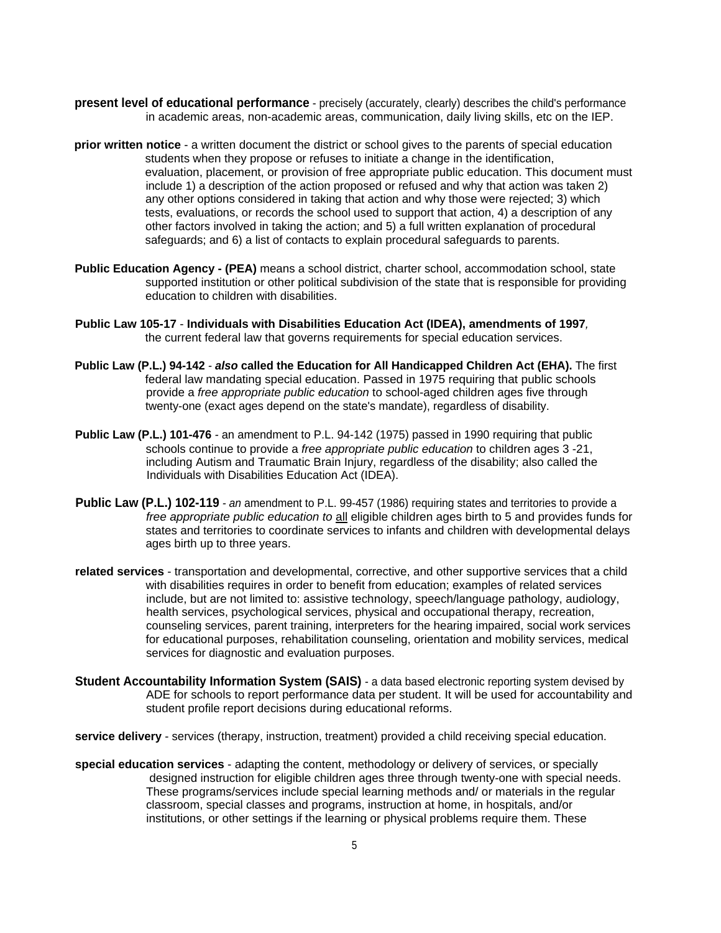- **present level of educational performance** precisely (accurately, clearly) describes the child's performance in academic areas, non-academic areas, communication, daily living skills, etc on the IEP.
- **prior written notice**  a written document the district or school gives to the parents of special education students when they propose or refuses to initiate a change in the identification, evaluation, placement, or provision of free appropriate public education. This document must include 1) a description of the action proposed or refused and why that action was taken 2) any other options considered in taking that action and why those were rejected; 3) which tests, evaluations, or records the school used to support that action, 4) a description of any other factors involved in taking the action; and 5) a full written explanation of procedural safeguards; and 6) a list of contacts to explain procedural safeguards to parents.
- **Public Education Agency (PEA)** means a school district, charter school, accommodation school, state supported institution or other political subdivision of the state that is responsible for providing education to children with disabilities.
- **Public Law 105-17 Individuals with Disabilities Education Act (IDEA), amendments of 1997***,* the current federal law that governs requirements for special education services.
- **Public Law (P.L.) 94-142** *also* **called the Education for All Handicapped Children Act (EHA).** The first federal law mandating special education. Passed in 1975 requiring that public schools provide a *free appropriate public education* to school-aged children ages five through twenty-one (exact ages depend on the state's mandate), regardless of disability.
- **Public Law (P.L.) 101-476** an amendment to P.L. 94-142 (1975) passed in 1990 requiring that public schools continue to provide a *free appropriate public education* to children ages 3 -21, including Autism and Traumatic Brain Injury, regardless of the disability; also called the Individuals with Disabilities Education Act (IDEA).
- **Public Law (P.L.) 102-119** an amendment to P.L. 99-457 (1986) requiring states and territories to provide a *free appropriate public education to* all eligible children ages birth to 5 and provides funds for states and territories to coordinate services to infants and children with developmental delays ages birth up to three years.
- **related services**  transportation and developmental, corrective, and other supportive services that a child with disabilities requires in order to benefit from education; examples of related services include, but are not limited to: assistive technology, speech/language pathology, audiology, health services, psychological services, physical and occupational therapy, recreation, counseling services, parent training, interpreters for the hearing impaired, social work services for educational purposes, rehabilitation counseling, orientation and mobility services, medical services for diagnostic and evaluation purposes.
- **Student Accountability Information System (SAIS)** a data based electronic reporting system devised by ADE for schools to report performance data per student. It will be used for accountability and student profile report decisions during educational reforms.

**service delivery** - services (therapy, instruction, treatment) provided a child receiving special education.

**special education services** - adapting the content, methodology or delivery of services, or specially designed instruction for eligible children ages three through twenty-one with special needs. These programs/services include special learning methods and/ or materials in the regular classroom, special classes and programs, instruction at home, in hospitals, and/or institutions, or other settings if the learning or physical problems require them. These